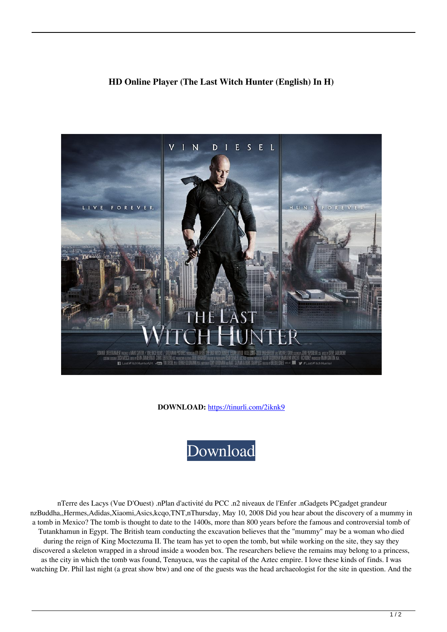## **HD Online Player (The Last Witch Hunter (English) In H)**



**DOWNLOAD:** <https://tinurli.com/2iknk9>



 nTerre des Lacys (Vue D'Ouest) .nPlan d'activité du PCC .n2 niveaux de l'Enfer .nGadgets PCgadget grandeur nzBuddha,,Hermes,Adidas,Xiaomi,Asics,kcqo,TNT,nThursday, May 10, 2008 Did you hear about the discovery of a mummy in a tomb in Mexico? The tomb is thought to date to the 1400s, more than 800 years before the famous and controversial tomb of Tutankhamun in Egypt. The British team conducting the excavation believes that the "mummy" may be a woman who died during the reign of King Moctezuma II. The team has yet to open the tomb, but while working on the site, they say they discovered a skeleton wrapped in a shroud inside a wooden box. The researchers believe the remains may belong to a princess, as the city in which the tomb was found, Tenayuca, was the capital of the Aztec empire. I love these kinds of finds. I was watching Dr. Phil last night (a great show btw) and one of the guests was the head archaeologist for the site in question. And the